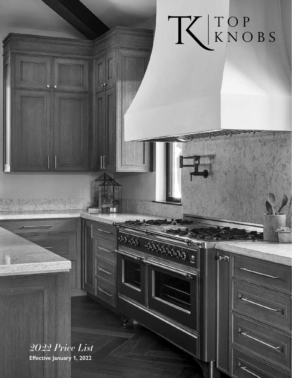

 $\overline{r}$ 

*2022 Price List* **Effective January 1, 2022**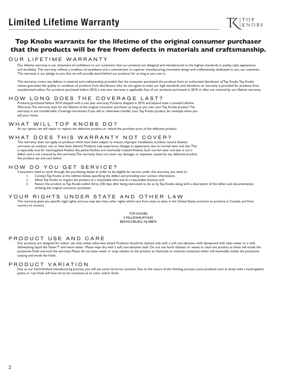# **Top Knobs warrants for the lifetime of the original consumer purchaser that the products will be free from defects in materials and craftsmanship.**

#### OUR LIFETIME WARRANTY

Our lifetime warranty is our statement of confidence to our customers that our products are designed and manufactured to the highest standards in quality, style, appearance and durability. This warranty reflects a tradition of excellence and a commitment to superior manufacturing, innovative design and craftsmanship dedicated to you, our customer. This warranty is our pledge to you that we will proudly stand behind our products for as long as you own it.

This warranty covers any defects in material and craftsmanship, provided that the consumer purchased the products from an authorized distributor of Top Knobs. Top Knobs cannot guarantee the quality or condition of products from distributors who do not agree to meet our high standards, and therefore, no warranty is provided for products from unauthorized sellers. For products purchased before 2010, a one year warranty is applicable. Any of our products purchased in 2010 or after are covered by our lifetime warranty.

## HOW LONG DOES THE COVERAGE LAST?

Products purchased before 2010 shipped with a one year warranty. Products shipped in 2010 and beyond have a Limited Lifetime Warranty. This warranty lasts for the lifetime of the original consumer purchaser as long as you own your Top Knobs product. The warranty is not transferrable. Coverage terminates if you sell or otherwise transfer your Top Knobs product, for example when you sell your home.

#### WHAT WILL TOP KNOBS DO?

At our option, we will repair or replace the defective product, or refund the purchase price of the defective product.

#### WHAT DOES THIS WARRANTY NOT COVER?

This warranty does not apply to products which have been subject to misuse, improper installation, accident, natural disaster, corrosive air, outdoor use, or have been altered. Products may experience changes in appearance due to normal wear and tear. This is especially true for hand-applied finishes like patina finishes and chemically created finishes. Such normal wear and tear is not a defect and is not covered by this warranty. This warranty does not cover any damages or expenses caused by any defective product. See product use and care below.

## HOW DO YOU GET SERVICE?

Consumers need to work through the purchasing dealer. In order to be eligible for service under this warranty you need to:

- 1. Contact Top Knobs at the address below, specifying the defect and providing your contact information;
- 2. Allow Top Knobs to inspect the product at a reasonable time and at a reasonable location; and
- 3. Return the product to Top Knobs within thirty (30) days after being instructed to do so by Top Knobs along with a description of the defect and documentation of being the original consumer purchaser.

#### YOUR RIGHTS UNDER STATE AND OTHER LAW

This warranty gives you specific legal rights, and you may also have other rights which vary from state to state in the United States, province to province in Canada, and from country to country.

> TOP KNOBS 3 MILLENNIUM WAY, BRANCHBURG, NJ 08876

#### PRODUCT USE AND CARE

Our products are designed for indoor use only unless otherwise stated. Products should be cleaned only with a soft, non-abrasive cloth dampened with clean water or a mild dishwashing liquid like Dawn™ and warm water. Please wipe dry with a soft, non-abrasive cloth. Do not use harsh cleaners or waxes to clean the product as these will erode the protective finish and void the warranty. Please do not leave water or soap residue on the product as chemicals or minerals contained within will eventually violate the protective coating and erode the finish.

#### PRODUCT VARIATION

Due to our hand-finished manufacturing process, you will see some lot-to-lot variation. Due to the nature of the finishing process, some products such as those with a hand-applied patina or rust finish will have lot-to-lot variations as to color and/or finish.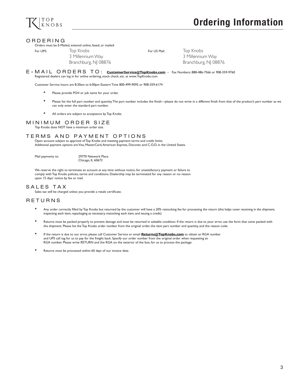

#### ORDERING

#### Orders must be E-Mailed, entered online, faxed, or mailed:

For UPS: Top Knobs For US Mail: Top Knobs

3 Millennium Way 3 Millennium Way Branchburg, NJ 08876 Branchburg, NJ 08876

E-MAIL ORDERS TO: **CustomerService@TopKnobs.com** – Fax Numbers: 888-486-7566 or 908-359-9760 Registered dealers can log in for online ordering, stock check, etc. at www.TopKnobs.com

Customer Service hours are 8:30am to 6:00pm Eastern Time 800-499-9095 or 908-359-6174

- Please provide PO# or job name for your order.
- Please list the full part number and quantity. The part number includes the finish—please do not write in a different finish from that of the product's part number as we can only enter the standard part number.
- All orders are subject to acceptance by Top Knobs.

#### MINIMUM ORDER SIZE

Top Knobs does NOT have a minimum order size.

#### TERMS AND PAYMENT OPTIONS

Open account subject to approval of Top Knobs and meeting payment terms and credit limits. Additional payment options are Visa, MasterCard, American Express, Discover, and C.O.D. in the United States.

Mail payments to: 29770 Network Place Chicago, IL 60673

We reserve the right to terminate an account at any time without notice, for unsatisfactory payment or failure to comply with Top Knobs policies, terms and conditions. Dealership may be terminated for any reason or no reason upon 15 days' notice by fax or mail.

## SALES TAX

Sales tax will be charged unless you provide a resale certificate.

## RETURNS

- Any order correctly filled by Top Knobs but returned by the customer will have a 20% restocking fee for processing the return (this helps cover receiving in the shipment, inspecting each item, repackaging as necessary, restocking each item, and issuing a credit)
- Returns must be packed properly to prevent damage and must be returned in saleable condition. If the return is due to your error, use the form that came packed with the shipment. Please list the Top Knobs order number from the original order, the item part number and quantity, and the reason code.
- If the return is due to our error, please call Customer Service or email **Returns@TopKnobs.com** to obtain an RGA number and UPS call tag for us to pay for the freight back. Specify our order number from the original order when requesting an RGA number. Please write RETURN and the RGA on the exterior of the box, for us to process the package.
- Returns must be processed within 60 days of our invoice date.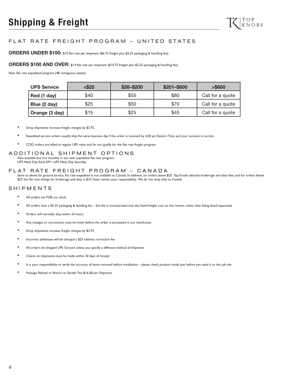## FLAT RATE FREIGHT PROGRAM – UNITED STATES

**ORDERS UNDER \$100:** \$10 flat rate per shipment (\$6.75 freight plus \$3.25 packaging & handling fee)

#### **ORDERS \$100 AND OVER:** \$14 flat rate per shipment (\$10.75 freight plus \$3.25 packaging & handling fee)

New flat rate expedited program (48 contiguous states):

| <b>UPS Service</b> | $<$ \$25 | \$26-\$200 | \$201-\$800 | > \$800          |
|--------------------|----------|------------|-------------|------------------|
| Red (1 day)        | \$40     | \$55       | \$80        | Call for a quote |
| Blue (2 day)       | \$25     | \$50       | \$70        | Call for a quote |
| Orange (3 day)     | \$15     | \$25       | \$45        | Call for a quote |

- Drop shipments increase freight charges by \$3.75.
- Expedited service orders usually ship the same business day if the order is received by 2:00 pm Eastern Time and your account is current.
- COD orders are billed at regular UPS rates and do not qualify for the flat rate freight program.

#### ADDITIONAL SHIPMENT OPTIONS

Also available but not included in our new expedited flat rate program: UPS Next Day Early AM • UPS Next Day Saturday

## FLAT RATE FREIGHT PROGRAM – CANADA

Same as above for ground service, flat rate expedited is not available to Canada. In addition, on orders above \$25 Top Knobs absorbs brokerage and duty fees, and for orders below \$25 the flat rate charge for brokerage and duty is \$10. Taxes remain your responsibility. We do not drop ship to Canada.

#### SHIPMENTS

- All orders are FOB our dock.
- All orders have a \$3.25 packaging & handling fee this fee is incorporated into the listed freight cost on the invoice, rather than being listed separately
- Orders will normally ship within 24 hours
- Any changes or corrections must be made before the order is processed in our warehouse
- Drop shipments increase freight charges by \$3.75
- Incorrect addresses will be charged a \$25 address correction fee
- All orders are shipped UPS Ground unless you specify a different method of shipment
- Claims on shipments must be made within 30 days of receipt
- It is your responsibility to verify the accuracy of items received before installation please check product inside box before you send it to the job site
- Package Refusal or Return to Sender Fee \$16.00 per Shipment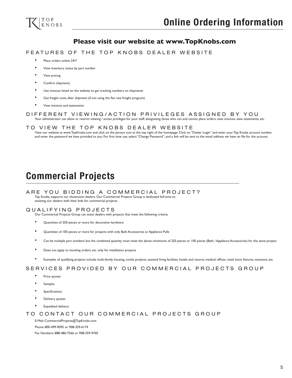

## **Please visit our website at www.TopKnobs.com**

#### FEATURES OF THE TOP KNOBS DEALER WEBSITE

- Place orders online 24/7
- View inventory status by part number
- View pricing
- Confirm shipments
- Use invoices listed on the website to get tracking numbers on shipments
- Get freight costs after shipment (if not using the flat rate freight program)
- View invoices and statements

## DIFFERENT VIEWING/ACTION PRIVILEGES ASSIGNED BY YOU

Your administrator can allow or restrict viewing / action privileges for your staff, designating those who can and cannot place orders, view invoices, view statements, etc.

#### TO VIEW THE TOP KNOBS DEALER WEBSITE

View our website at www.TopKnobs.com and click on the person icon at the top right of the homepage. Click on "Dealer Login" and enter your Top Knobs account number, and enter the password we have provided to you. For first time use, select "Change Password", and a link will be sent to the email address we have on file for the account.

# **Commercial Projects**

#### ARE YOU BIDDING A COMMERCIAL PROJECT?

Top Knobs supports our showroom dealers. Our Commercial Projects Group is dedicated full-time to assisting our dealers with their bids for commercial projects.

#### QUALIFYING PROJECTS

Our Commercial Projects Group can assist dealers with projects that meet the following criteria:

- Quantities of 250 pieces or more for decorative hardware
- Quantities of 100 pieces or more for projects with only Bath Accessories or Appliance Pulls
- Can be multiple part numbers but the combined quantity must meet the above minimums of 250 pieces or 100 pieces (Bath / Appliance Accessories) for the same project
- Does not apply to stocking orders, etc. only for installation projects
- Examples of qualifying projects include multi-family housing, condo projects, assisted living facilities, hotels and resorts, medical offices, retail store fixtures, mansions, etc.

## SERVICES PROVIDED BY OUR COMMERCIAL PROJECTS GROUP

- Price quotes
- **Samples**
- **Specifications**
- Delivery quotes
- **Expedited delivery**

#### TO CONTACT OUR COMMERCIAL PROJECTS GROUP

E-Mail: CommercialProjects@TopKnobs.com Phone: 800-499-9095 or 908-359-6174

Fax Numbers: 888-486-7566 or 908-359-9760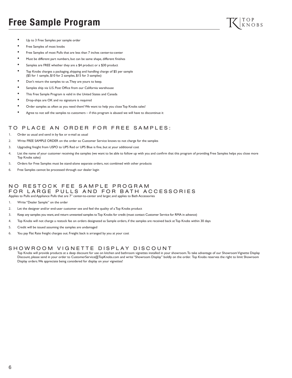# **Free Sample Program**



- Up to 3 Free Samples per sample order
- Free Samples of most knobs
- Free Samples of most Pulls that are less than 7 inches center-to-center
- Must be different part numbers, but can be same shape, different finishes
- Samples are FREE whether they are a \$4 product or a \$30 product
- Top Knobs charges a packaging, shipping and handling charge of \$5 per sample (\$5 for 1 sample, \$10 for 2 samples, \$15 for 3 samples)
- Don't return the samples to us. They are yours to keep.
- Samples ship via U.S. Post Office from our California warehouse
- This Free Sample Program is valid in the United States and Canada
- Drop-ships are OK and no signature is required
- Order samples as often as you need them! We want to help you close Top Knobs sales!
- Agree to not sell the samples to customers if this program is abused we will have to discontinue it

## TO PLACE AN ORDER FOR FREE SAMPLES:

- Order as usual and send in by fax or e-mail as usual
- 2. Write FREE SAMPLE ORDER on the order so Customer Service knows to not charge for the samples
- 3. Upgrading freight from USPO to UPS Red or UPS Blue is fine, but at your additional cost
- 4. List the name of your customer receiving the samples (we want to be able to follow up with you and confirm that this program of providing Free Samples helps you close more Top Knobs sales)
- 5. Orders for Free Samples must be stand-alone separate orders, not combined with other products
- 6. Free Samples cannot be processed through our dealer login

#### NO RESTOCK FEE SAMPLE PROGRAM FOR LARGE PULLS AND FOR BATH ACCESSORIES Applies to Pulls and Appliance Pulls that are 7" center-to-center and larger, and applies to Bath Accessories

- 
- 1. Write "Dealer Sample" on the order
- 2. Let the designer and/or end-user customer see and feel the quality of a Top Knobs product
- 3. Keep any samples you want, and return unwanted samples to Top Knobs for credit (must contact Customer Service for RMA in advance)
- 4. Top Knobs will not charge a restock fee on orders designated as Sample orders, if the samples are received back at Top Knobs within 30 days
- 5. Credit will be issued assuming the samples are undamaged
- 6. You pay Flat Rate freight charges out. Freight back is arranged by you at your cost

#### SHOWROOM VIGNETTE DISPLAY DISCOUNT

Top Knobs will provide products at a deep discount for use on kitchen and bathroom vignettes installed in your showroom. To take advantage of our Showroom Vignette Display Discount, please send in your order to CustomerService@TopKnobs.com and write "Showroom Display" boldly on the order. Top Knobs reserves the right to limit Showroom Display orders. We appreciate being considered for display on your vignettes!